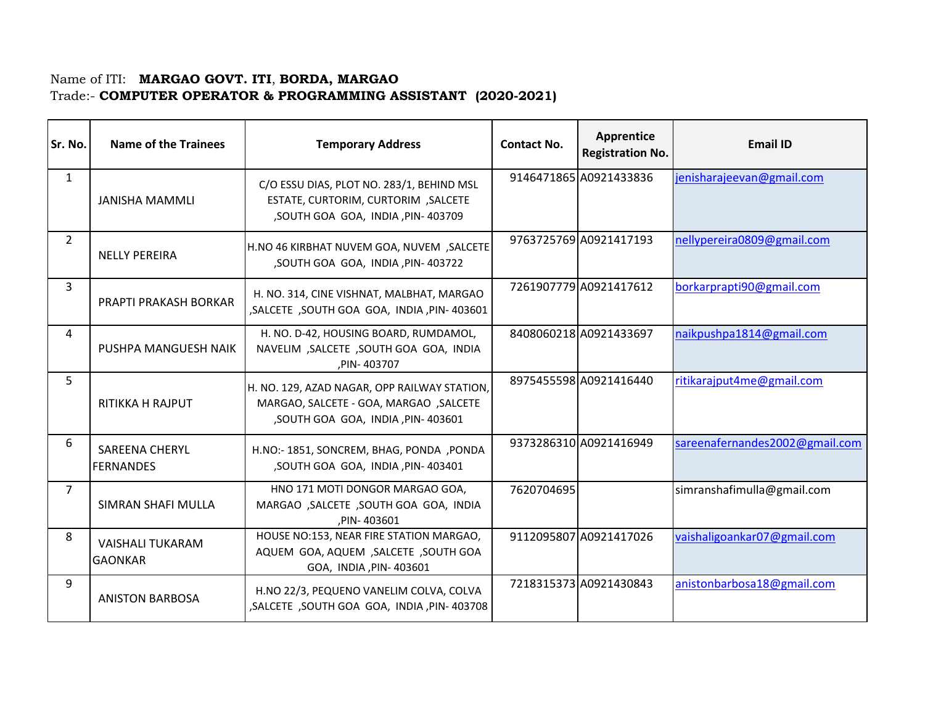## Name of ITI: **MARGAO GOVT. ITI**, **BORDA, MARGAO**  Trade:- **COMPUTER OPERATOR & PROGRAMMING ASSISTANT (2020-2021)**

| Sr. No.        | <b>Name of the Trainees</b>                | <b>Temporary Address</b>                                                                                                      | <b>Contact No.</b> | Apprentice<br><b>Registration No.</b> | <b>Email ID</b>                |
|----------------|--------------------------------------------|-------------------------------------------------------------------------------------------------------------------------------|--------------------|---------------------------------------|--------------------------------|
| $\mathbf{1}$   | <b>JANISHA MAMMLI</b>                      | C/O ESSU DIAS, PLOT NO. 283/1, BEHIND MSL<br>ESTATE, CURTORIM, CURTORIM, SALCETE<br>,SOUTH GOA GOA, INDIA, PIN- 403709        |                    | 9146471865 A0921433836                | jenisharajeevan@gmail.com      |
| $\overline{2}$ | <b>NELLY PEREIRA</b>                       | H.NO 46 KIRBHAT NUVEM GOA, NUVEM, SALCETE<br>, SOUTH GOA GOA, INDIA, PIN-403722                                               |                    | 9763725769 A0921417193                | nellypereira0809@gmail.com     |
| 3              | <b>PRAPTI PRAKASH BORKAR</b>               | H. NO. 314, CINE VISHNAT, MALBHAT, MARGAO<br>SALCETE, SOUTH GOA GOA, INDIA, PIN-403601                                        |                    | 7261907779 A0921417612                | borkarprapti90@gmail.com       |
| 4              | PUSHPA MANGUESH NAIK                       | H. NO. D-42, HOUSING BOARD, RUMDAMOL,<br>NAVELIM, SALCETE, SOUTH GOA GOA, INDIA<br>,PIN-403707                                |                    | 8408060218 A0921433697                | naikpushpa1814@gmail.com       |
| 5              | <b>RITIKKA H RAJPUT</b>                    | H. NO. 129, AZAD NAGAR, OPP RAILWAY STATION,<br>MARGAO, SALCETE - GOA, MARGAO , SALCETE<br>, SOUTH GOA GOA, INDIA, PIN-403601 |                    | 8975455598 A0921416440                | ritikarajput4me@gmail.com      |
| 6              | <b>SAREENA CHERYL</b><br><b>IFERNANDES</b> | H.NO:- 1851, SONCREM, BHAG, PONDA , PONDA<br>, SOUTH GOA GOA, INDIA, PIN-403401                                               |                    | 9373286310 A0921416949                | sareenafernandes2002@gmail.com |
| $\overline{7}$ | SIMRAN SHAFI MULLA                         | HNO 171 MOTI DONGOR MARGAO GOA,<br>MARGAO, SALCETE, SOUTH GOA GOA, INDIA<br>PIN-403601                                        | 7620704695         |                                       | simranshafimulla@gmail.com     |
| 8              | <b>VAISHALI TUKARAM</b><br><b>GAONKAR</b>  | HOUSE NO:153, NEAR FIRE STATION MARGAO,<br>AQUEM GOA, AQUEM , SALCETE , SOUTH GOA<br>GOA, INDIA, PIN-403601                   |                    | 9112095807 A0921417026                | vaishaligoankar07@gmail.com    |
| 9              | <b>ANISTON BARBOSA</b>                     | H.NO 22/3, PEQUENO VANELIM COLVA, COLVA<br>, SALCETE, SOUTH GOA GOA, INDIA, PIN-403708                                        |                    | 7218315373 A0921430843                | anistonbarbosa18@gmail.com     |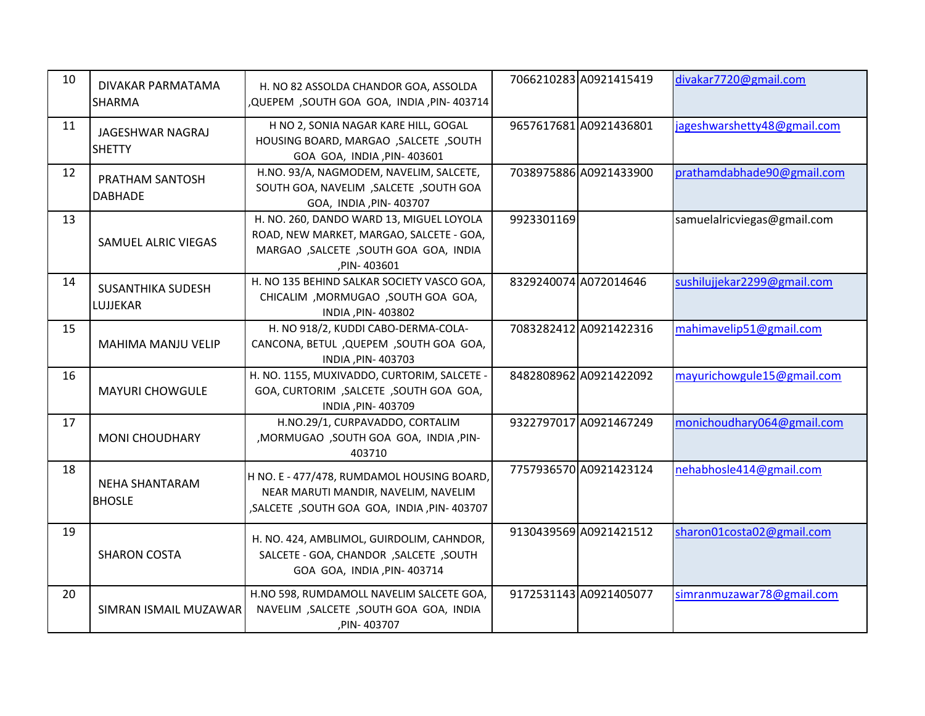| 10 | DIVAKAR PARMATAMA<br><b>SHARMA</b>   | H. NO 82 ASSOLDA CHANDOR GOA, ASSOLDA<br>,QUEPEM, SOUTH GOA GOA, INDIA, PIN-403714                                                              | 7066210283 A0921415419 | divakar7720@gmail.com       |
|----|--------------------------------------|-------------------------------------------------------------------------------------------------------------------------------------------------|------------------------|-----------------------------|
| 11 | JAGESHWAR NAGRAJ<br><b>SHETTY</b>    | H NO 2, SONIA NAGAR KARE HILL, GOGAL<br>HOUSING BOARD, MARGAO , SALCETE , SOUTH<br>GOA GOA, INDIA, PIN- 403601                                  | 9657617681 A0921436801 | jageshwarshetty48@gmail.com |
| 12 | PRATHAM SANTOSH<br><b>DABHADE</b>    | H.NO. 93/A, NAGMODEM, NAVELIM, SALCETE,<br>SOUTH GOA, NAVELIM, SALCETE, SOUTH GOA<br>GOA, INDIA , PIN- 403707                                   | 7038975886 A0921433900 | prathamdabhade90@gmail.com  |
| 13 | SAMUEL ALRIC VIEGAS                  | H. NO. 260, DANDO WARD 13, MIGUEL LOYOLA<br>ROAD, NEW MARKET, MARGAO, SALCETE - GOA,<br>MARGAO , SALCETE , SOUTH GOA GOA, INDIA<br>, PIN-403601 | 9923301169             | samuelalricviegas@gmail.com |
| 14 | <b>SUSANTHIKA SUDESH</b><br>LUJJEKAR | H. NO 135 BEHIND SALKAR SOCIETY VASCO GOA,<br>CHICALIM, MORMUGAO, SOUTH GOA GOA,<br>INDIA, PIN-403802                                           | 8329240074 A072014646  | sushilujjekar2299@gmail.com |
| 15 | MAHIMA MANJU VELIP                   | H. NO 918/2, KUDDI CABO-DERMA-COLA-<br>CANCONA, BETUL , QUEPEM , SOUTH GOA GOA,<br>INDIA, PIN-403703                                            | 7083282412 A0921422316 | mahimavelip51@gmail.com     |
| 16 | <b>MAYURI CHOWGULE</b>               | H. NO. 1155, MUXIVADDO, CURTORIM, SALCETE -<br>GOA, CURTORIM, SALCETE, SOUTH GOA GOA,<br>INDIA, PIN-403709                                      | 8482808962 A0921422092 | mayurichowgule15@gmail.com  |
| 17 | <b>MONI CHOUDHARY</b>                | H.NO.29/1, CURPAVADDO, CORTALIM<br>,MORMUGAO ,SOUTH GOA GOA, INDIA, PIN-<br>403710                                                              | 9322797017 A0921467249 | monichoudhary064@gmail.com  |
| 18 | NEHA SHANTARAM<br><b>BHOSLE</b>      | H NO. E - 477/478, RUMDAMOL HOUSING BOARD,<br>NEAR MARUTI MANDIR, NAVELIM, NAVELIM<br>, SALCETE, SOUTH GOA GOA, INDIA, PIN-403707               | 7757936570 A0921423124 | nehabhosle414@gmail.com     |
| 19 | <b>SHARON COSTA</b>                  | H. NO. 424, AMBLIMOL, GUIRDOLIM, CAHNDOR,<br>SALCETE - GOA, CHANDOR , SALCETE , SOUTH<br>GOA GOA, INDIA, PIN- 403714                            | 9130439569 A0921421512 | sharon01costa02@gmail.com   |
| 20 | SIMRAN ISMAIL MUZAWAR                | H.NO 598, RUMDAMOLL NAVELIM SALCETE GOA,<br>NAVELIM, SALCETE, SOUTH GOA GOA, INDIA<br>,PIN-403707                                               | 9172531143 A0921405077 | simranmuzawar78@gmail.com   |